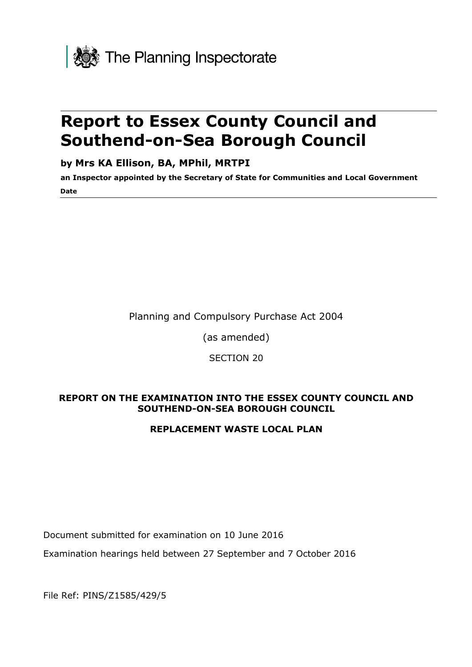

# **Report to Essex County Council and Southend-on-Sea Borough Council**

### **by Mrs KA Ellison, BA, MPhil, MRTPI**

**an Inspector appointed by the Secretary of State for Communities and Local Government Date**

Planning and Compulsory Purchase Act 2004

(as amended)

SECTION 20

#### **REPORT ON THE EXAMINATION INTO THE ESSEX COUNTY COUNCIL AND SOUTHEND-ON-SEA BOROUGH COUNCIL**

#### **REPLACEMENT WASTE LOCAL PLAN**

Document submitted for examination on 10 June 2016

Examination hearings held between 27 September and 7 October 2016

File Ref: PINS/Z1585/429/5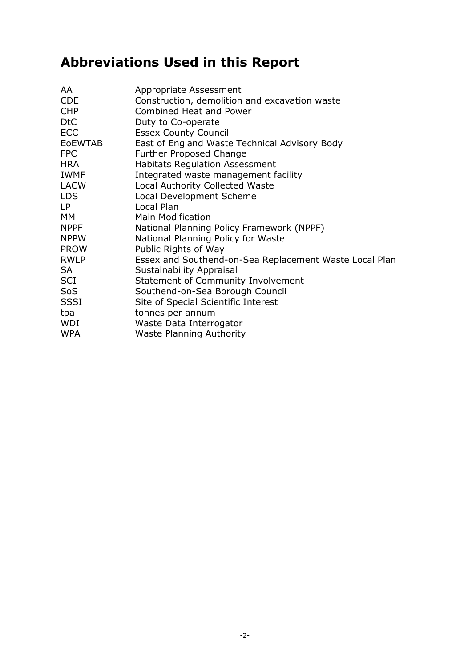# **Abbreviations Used in this Report**

| Appropriate Assessment                                 |
|--------------------------------------------------------|
| Construction, demolition and excavation waste          |
| Combined Heat and Power                                |
| Duty to Co-operate                                     |
| <b>Essex County Council</b>                            |
| East of England Waste Technical Advisory Body          |
| Further Proposed Change                                |
| <b>Habitats Regulation Assessment</b>                  |
| Integrated waste management facility                   |
| <b>Local Authority Collected Waste</b>                 |
| Local Development Scheme                               |
| Local Plan                                             |
| <b>Main Modification</b>                               |
| National Planning Policy Framework (NPPF)              |
| National Planning Policy for Waste                     |
| Public Rights of Way                                   |
| Essex and Southend-on-Sea Replacement Waste Local Plan |
| Sustainability Appraisal                               |
| Statement of Community Involvement                     |
| Southend-on-Sea Borough Council                        |
| Site of Special Scientific Interest                    |
| tonnes per annum                                       |
| Waste Data Interrogator                                |
| <b>Waste Planning Authority</b>                        |
|                                                        |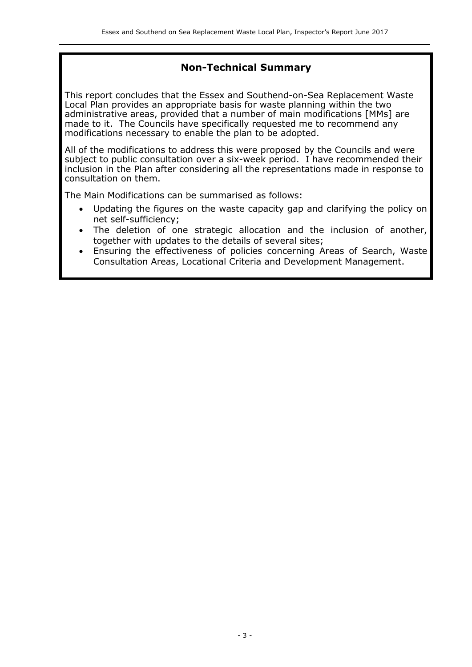### **Non-Technical Summary**

This report concludes that the Essex and Southend-on-Sea Replacement Waste Local Plan provides an appropriate basis for waste planning within the two administrative areas, provided that a number of main modifications [MMs] are made to it. The Councils have specifically requested me to recommend any modifications necessary to enable the plan to be adopted.

All of the modifications to address this were proposed by the Councils and were subject to public consultation over a six-week period. I have recommended their inclusion in the Plan after considering all the representations made in response to consultation on them.

The Main Modifications can be summarised as follows:

- Updating the figures on the waste capacity gap and clarifying the policy on net self-sufficiency;
- The deletion of one strategic allocation and the inclusion of another, together with updates to the details of several sites;
- Ensuring the effectiveness of policies concerning Areas of Search, Waste Consultation Areas, Locational Criteria and Development Management.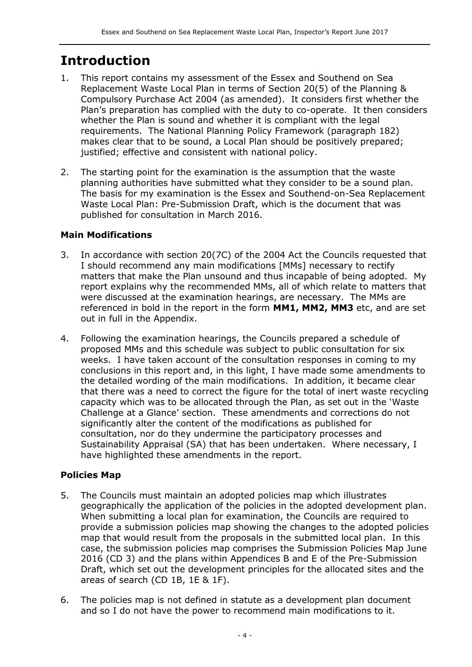## **Introduction**

- 1. This report contains my assessment of the Essex and Southend on Sea Replacement Waste Local Plan in terms of Section 20(5) of the Planning & Compulsory Purchase Act 2004 (as amended). It considers first whether the Plan's preparation has complied with the duty to co-operate. It then considers whether the Plan is sound and whether it is compliant with the legal requirements. The National Planning Policy Framework (paragraph 182) makes clear that to be sound, a Local Plan should be positively prepared; justified; effective and consistent with national policy.
- 2. The starting point for the examination is the assumption that the waste planning authorities have submitted what they consider to be a sound plan. The basis for my examination is the Essex and Southend-on-Sea Replacement Waste Local Plan: Pre-Submission Draft, which is the document that was published for consultation in March 2016.

#### **Main Modifications**

- 3. In accordance with section 20(7C) of the 2004 Act the Councils requested that I should recommend any main modifications [MMs] necessary to rectify matters that make the Plan unsound and thus incapable of being adopted. My report explains why the recommended MMs, all of which relate to matters that were discussed at the examination hearings, are necessary. The MMs are referenced in bold in the report in the form **MM1, MM2, MM3** etc, and are set out in full in the Appendix.
- 4. Following the examination hearings, the Councils prepared a schedule of proposed MMs and this schedule was subject to public consultation for six weeks. I have taken account of the consultation responses in coming to my conclusions in this report and, in this light, I have made some amendments to the detailed wording of the main modifications. In addition, it became clear that there was a need to correct the figure for the total of inert waste recycling capacity which was to be allocated through the Plan, as set out in the 'Waste Challenge at a Glance' section. These amendments and corrections do not significantly alter the content of the modifications as published for consultation, nor do they undermine the participatory processes and Sustainability Appraisal (SA) that has been undertaken. Where necessary, I have highlighted these amendments in the report.

#### **Policies Map**

- 5. The Councils must maintain an adopted policies map which illustrates geographically the application of the policies in the adopted development plan. When submitting a local plan for examination, the Councils are required to provide a submission policies map showing the changes to the adopted policies map that would result from the proposals in the submitted local plan. In this case, the submission policies map comprises the Submission Policies Map June 2016 (CD 3) and the plans within Appendices B and E of the Pre-Submission Draft, which set out the development principles for the allocated sites and the areas of search (CD 1B, 1E & 1F).
- 6. The policies map is not defined in statute as a development plan document and so I do not have the power to recommend main modifications to it.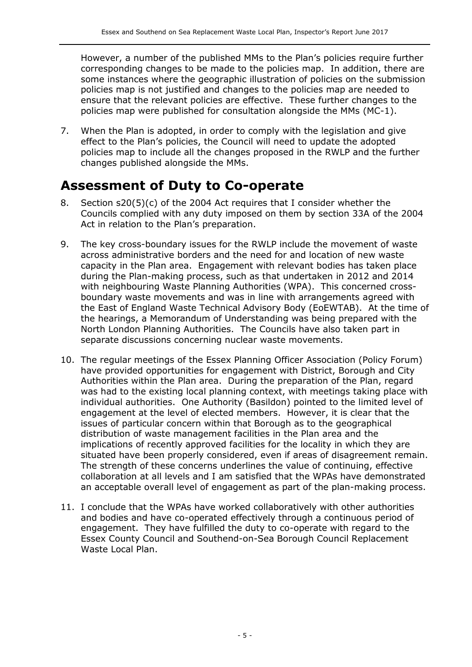However, a number of the published MMs to the Plan's policies require further corresponding changes to be made to the policies map. In addition, there are some instances where the geographic illustration of policies on the submission policies map is not justified and changes to the policies map are needed to ensure that the relevant policies are effective. These further changes to the policies map were published for consultation alongside the MMs (MC-1).

7. When the Plan is adopted, in order to comply with the legislation and give effect to the Plan's policies, the Council will need to update the adopted policies map to include all the changes proposed in the RWLP and the further changes published alongside the MMs.

## **Assessment of Duty to Co-operate**

- 8. Section s20(5)(c) of the 2004 Act requires that I consider whether the Councils complied with any duty imposed on them by section 33A of the 2004 Act in relation to the Plan's preparation.
- 9. The key cross-boundary issues for the RWLP include the movement of waste across administrative borders and the need for and location of new waste capacity in the Plan area. Engagement with relevant bodies has taken place during the Plan-making process, such as that undertaken in 2012 and 2014 with neighbouring Waste Planning Authorities (WPA). This concerned crossboundary waste movements and was in line with arrangements agreed with the East of England Waste Technical Advisory Body (EoEWTAB). At the time of the hearings, a Memorandum of Understanding was being prepared with the North London Planning Authorities. The Councils have also taken part in separate discussions concerning nuclear waste movements.
- 10. The regular meetings of the Essex Planning Officer Association (Policy Forum) have provided opportunities for engagement with District, Borough and City Authorities within the Plan area. During the preparation of the Plan, regard was had to the existing local planning context, with meetings taking place with individual authorities. One Authority (Basildon) pointed to the limited level of engagement at the level of elected members. However, it is clear that the issues of particular concern within that Borough as to the geographical distribution of waste management facilities in the Plan area and the implications of recently approved facilities for the locality in which they are situated have been properly considered, even if areas of disagreement remain. The strength of these concerns underlines the value of continuing, effective collaboration at all levels and I am satisfied that the WPAs have demonstrated an acceptable overall level of engagement as part of the plan-making process.
- 11. I conclude that the WPAs have worked collaboratively with other authorities and bodies and have co-operated effectively through a continuous period of engagement. They have fulfilled the duty to co-operate with regard to the Essex County Council and Southend-on-Sea Borough Council Replacement Waste Local Plan.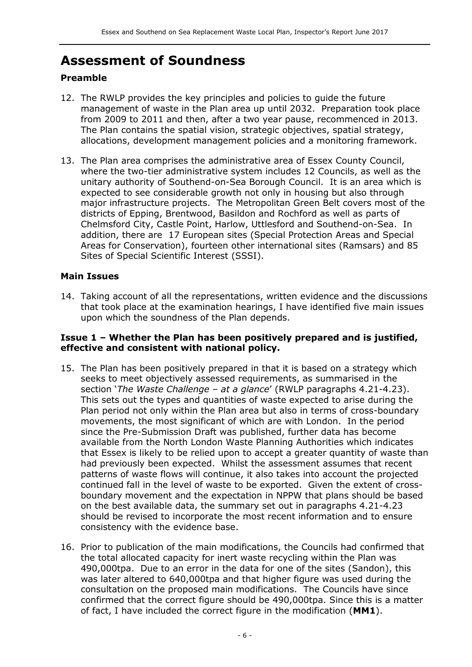## **Assessment of Soundness**

#### **Preamble**

- 12. The RWLP provides the key principles and policies to guide the future management of waste in the Plan area up until 2032. Preparation took place from 2009 to 2011 and then, after a two year pause, recommenced in 2013. The Plan contains the spatial vision, strategic objectives, spatial strategy, allocations, development management policies and a monitoring framework.
- 13. The Plan area comprises the administrative area of Essex County Council, where the two-tier administrative system includes 12 Councils, as well as the unitary authority of Southend-on-Sea Borough Council. It is an area which is expected to see considerable growth not only in housing but also through major infrastructure projects. The Metropolitan Green Belt covers most of the districts of Epping, Brentwood, Basildon and Rochford as well as parts of Chelmsford City, Castle Point, Harlow, Uttlesford and Southend-on-Sea. In addition, there are 17 European sites (Special Protection Areas and Special Areas for Conservation), fourteen other international sites (Ramsars) and 85 Sites of Special Scientific Interest (SSSI).

#### **Main Issues**

14. Taking account of all the representations, written evidence and the discussions that took place at the examination hearings, I have identified five main issues upon which the soundness of the Plan depends.

#### **Issue 1 – Whether the Plan has been positively prepared and is justified, effective and consistent with national policy.**

- 15. The Plan has been positively prepared in that it is based on a strategy which seeks to meet objectively assessed requirements, as summarised in the section '*The Waste Challenge – at a glance*' (RWLP paragraphs 4.21-4.23). This sets out the types and quantities of waste expected to arise during the Plan period not only within the Plan area but also in terms of cross-boundary movements, the most significant of which are with London. In the period since the Pre-Submission Draft was published, further data has become available from the North London Waste Planning Authorities which indicates that Essex is likely to be relied upon to accept a greater quantity of waste than had previously been expected. Whilst the assessment assumes that recent patterns of waste flows will continue, it also takes into account the projected continued fall in the level of waste to be exported. Given the extent of crossboundary movement and the expectation in NPPW that plans should be based on the best available data, the summary set out in paragraphs 4.21-4.23 should be revised to incorporate the most recent information and to ensure consistency with the evidence base.
- 16. Prior to publication of the main modifications, the Councils had confirmed that the total allocated capacity for inert waste recycling within the Plan was 490,000tpa. Due to an error in the data for one of the sites (Sandon), this was later altered to 640,000tpa and that higher figure was used during the consultation on the proposed main modifications. The Councils have since confirmed that the correct figure should be 490,000tpa. Since this is a matter of fact, I have included the correct figure in the modification (**MM1**).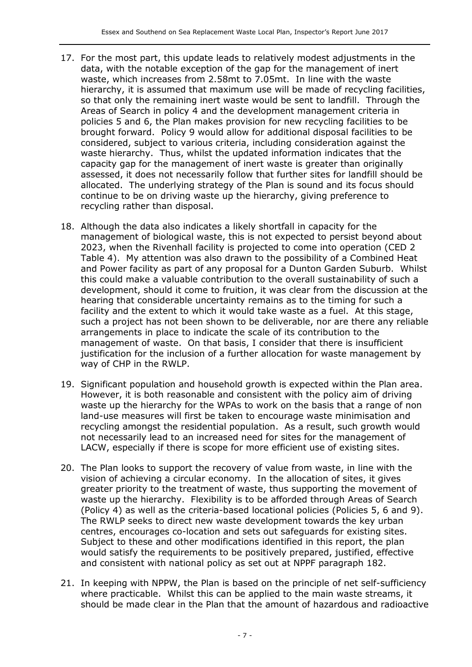- 17. For the most part, this update leads to relatively modest adjustments in the data, with the notable exception of the gap for the management of inert waste, which increases from 2.58mt to 7.05mt. In line with the waste hierarchy, it is assumed that maximum use will be made of recycling facilities, so that only the remaining inert waste would be sent to landfill. Through the Areas of Search in policy 4 and the development management criteria in policies 5 and 6, the Plan makes provision for new recycling facilities to be brought forward. Policy 9 would allow for additional disposal facilities to be considered, subject to various criteria, including consideration against the waste hierarchy. Thus, whilst the updated information indicates that the capacity gap for the management of inert waste is greater than originally assessed, it does not necessarily follow that further sites for landfill should be allocated. The underlying strategy of the Plan is sound and its focus should continue to be on driving waste up the hierarchy, giving preference to recycling rather than disposal.
- 18. Although the data also indicates a likely shortfall in capacity for the management of biological waste, this is not expected to persist beyond about 2023, when the Rivenhall facility is projected to come into operation (CED 2 Table 4). My attention was also drawn to the possibility of a Combined Heat and Power facility as part of any proposal for a Dunton Garden Suburb. Whilst this could make a valuable contribution to the overall sustainability of such a development, should it come to fruition, it was clear from the discussion at the hearing that considerable uncertainty remains as to the timing for such a facility and the extent to which it would take waste as a fuel. At this stage, such a project has not been shown to be deliverable, nor are there any reliable arrangements in place to indicate the scale of its contribution to the management of waste. On that basis, I consider that there is insufficient justification for the inclusion of a further allocation for waste management by way of CHP in the RWLP.
- 19. Significant population and household growth is expected within the Plan area. However, it is both reasonable and consistent with the policy aim of driving waste up the hierarchy for the WPAs to work on the basis that a range of non land-use measures will first be taken to encourage waste minimisation and recycling amongst the residential population. As a result, such growth would not necessarily lead to an increased need for sites for the management of LACW, especially if there is scope for more efficient use of existing sites.
- 20. The Plan looks to support the recovery of value from waste, in line with the vision of achieving a circular economy. In the allocation of sites, it gives greater priority to the treatment of waste, thus supporting the movement of waste up the hierarchy. Flexibility is to be afforded through Areas of Search (Policy 4) as well as the criteria-based locational policies (Policies 5, 6 and 9). The RWLP seeks to direct new waste development towards the key urban centres, encourages co-location and sets out safeguards for existing sites. Subject to these and other modifications identified in this report, the plan would satisfy the requirements to be positively prepared, justified, effective and consistent with national policy as set out at NPPF paragraph 182.
- 21. In keeping with NPPW, the Plan is based on the principle of net self-sufficiency where practicable. Whilst this can be applied to the main waste streams, it should be made clear in the Plan that the amount of hazardous and radioactive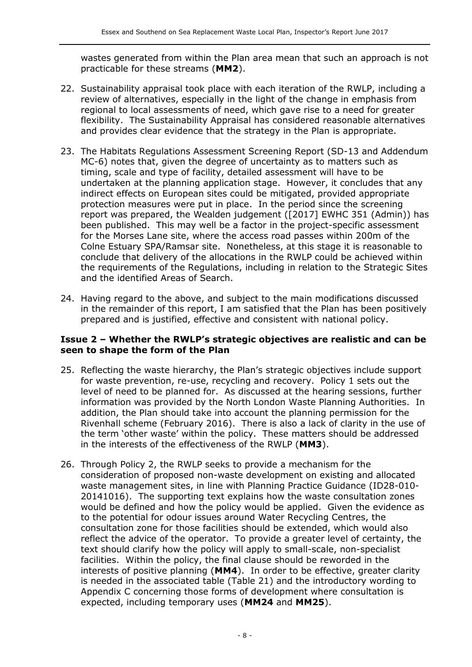wastes generated from within the Plan area mean that such an approach is not practicable for these streams (**MM2**).

- 22. Sustainability appraisal took place with each iteration of the RWLP, including a review of alternatives, especially in the light of the change in emphasis from regional to local assessments of need, which gave rise to a need for greater flexibility. The Sustainability Appraisal has considered reasonable alternatives and provides clear evidence that the strategy in the Plan is appropriate.
- 23. The Habitats Regulations Assessment Screening Report (SD-13 and Addendum MC-6) notes that, given the degree of uncertainty as to matters such as timing, scale and type of facility, detailed assessment will have to be undertaken at the planning application stage. However, it concludes that any indirect effects on European sites could be mitigated, provided appropriate protection measures were put in place. In the period since the screening report was prepared, the Wealden judgement ([2017] EWHC 351 (Admin)) has been published. This may well be a factor in the project-specific assessment for the Morses Lane site, where the access road passes within 200m of the Colne Estuary SPA/Ramsar site. Nonetheless, at this stage it is reasonable to conclude that delivery of the allocations in the RWLP could be achieved within the requirements of the Regulations, including in relation to the Strategic Sites and the identified Areas of Search.
- 24. Having regard to the above, and subject to the main modifications discussed in the remainder of this report, I am satisfied that the Plan has been positively prepared and is justified, effective and consistent with national policy.

#### **Issue 2 – Whether the RWLP's strategic objectives are realistic and can be seen to shape the form of the Plan**

- 25. Reflecting the waste hierarchy, the Plan's strategic objectives include support for waste prevention, re-use, recycling and recovery. Policy 1 sets out the level of need to be planned for. As discussed at the hearing sessions, further information was provided by the North London Waste Planning Authorities. In addition, the Plan should take into account the planning permission for the Rivenhall scheme (February 2016). There is also a lack of clarity in the use of the term 'other waste' within the policy. These matters should be addressed in the interests of the effectiveness of the RWLP (**MM3**).
- 26. Through Policy 2, the RWLP seeks to provide a mechanism for the consideration of proposed non-waste development on existing and allocated waste management sites, in line with Planning Practice Guidance (ID28-010- 20141016). The supporting text explains how the waste consultation zones would be defined and how the policy would be applied. Given the evidence as to the potential for odour issues around Water Recycling Centres, the consultation zone for those facilities should be extended, which would also reflect the advice of the operator. To provide a greater level of certainty, the text should clarify how the policy will apply to small-scale, non-specialist facilities. Within the policy, the final clause should be reworded in the interests of positive planning (**MM4**). In order to be effective, greater clarity is needed in the associated table (Table 21) and the introductory wording to Appendix C concerning those forms of development where consultation is expected, including temporary uses (**MM24** and **MM25**).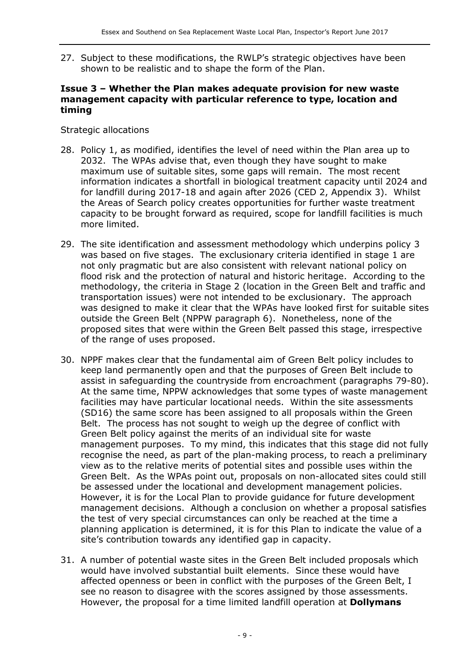27. Subject to these modifications, the RWLP's strategic objectives have been shown to be realistic and to shape the form of the Plan.

#### **Issue 3 – Whether the Plan makes adequate provision for new waste management capacity with particular reference to type, location and timing**

Strategic allocations

- 28. Policy 1, as modified, identifies the level of need within the Plan area up to 2032. The WPAs advise that, even though they have sought to make maximum use of suitable sites, some gaps will remain. The most recent information indicates a shortfall in biological treatment capacity until 2024 and for landfill during 2017-18 and again after 2026 (CED 2, Appendix 3). Whilst the Areas of Search policy creates opportunities for further waste treatment capacity to be brought forward as required, scope for landfill facilities is much more limited.
- 29. The site identification and assessment methodology which underpins policy 3 was based on five stages. The exclusionary criteria identified in stage 1 are not only pragmatic but are also consistent with relevant national policy on flood risk and the protection of natural and historic heritage. According to the methodology, the criteria in Stage 2 (location in the Green Belt and traffic and transportation issues) were not intended to be exclusionary. The approach was designed to make it clear that the WPAs have looked first for suitable sites outside the Green Belt (NPPW paragraph 6). Nonetheless, none of the proposed sites that were within the Green Belt passed this stage, irrespective of the range of uses proposed.
- 30. NPPF makes clear that the fundamental aim of Green Belt policy includes to keep land permanently open and that the purposes of Green Belt include to assist in safeguarding the countryside from encroachment (paragraphs 79-80). At the same time, NPPW acknowledges that some types of waste management facilities may have particular locational needs. Within the site assessments (SD16) the same score has been assigned to all proposals within the Green Belt. The process has not sought to weigh up the degree of conflict with Green Belt policy against the merits of an individual site for waste management purposes. To my mind, this indicates that this stage did not fully recognise the need, as part of the plan-making process, to reach a preliminary view as to the relative merits of potential sites and possible uses within the Green Belt. As the WPAs point out, proposals on non-allocated sites could still be assessed under the locational and development management policies. However, it is for the Local Plan to provide guidance for future development management decisions. Although a conclusion on whether a proposal satisfies the test of very special circumstances can only be reached at the time a planning application is determined, it is for this Plan to indicate the value of a site's contribution towards any identified gap in capacity.
- 31. A number of potential waste sites in the Green Belt included proposals which would have involved substantial built elements. Since these would have affected openness or been in conflict with the purposes of the Green Belt, I see no reason to disagree with the scores assigned by those assessments. However, the proposal for a time limited landfill operation at **Dollymans**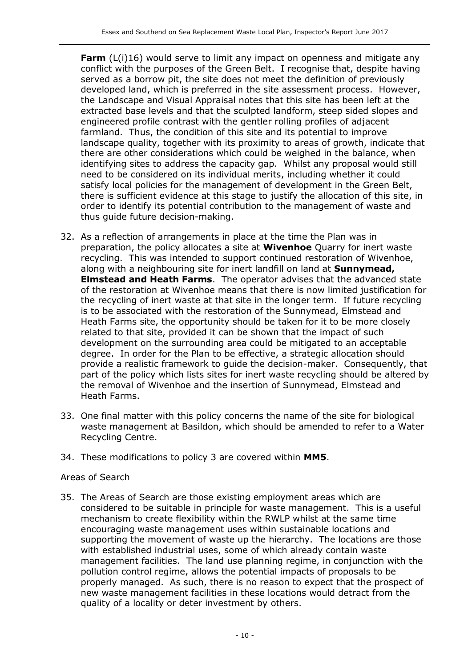**Farm** (L(i)16) would serve to limit any impact on openness and mitigate any conflict with the purposes of the Green Belt. I recognise that, despite having served as a borrow pit, the site does not meet the definition of previously developed land, which is preferred in the site assessment process. However, the Landscape and Visual Appraisal notes that this site has been left at the extracted base levels and that the sculpted landform, steep sided slopes and engineered profile contrast with the gentler rolling profiles of adjacent farmland. Thus, the condition of this site and its potential to improve landscape quality, together with its proximity to areas of growth, indicate that there are other considerations which could be weighed in the balance, when identifying sites to address the capacity gap. Whilst any proposal would still need to be considered on its individual merits, including whether it could satisfy local policies for the management of development in the Green Belt, there is sufficient evidence at this stage to justify the allocation of this site, in order to identify its potential contribution to the management of waste and thus guide future decision-making.

- 32. As a reflection of arrangements in place at the time the Plan was in preparation, the policy allocates a site at **Wivenhoe** Quarry for inert waste recycling. This was intended to support continued restoration of Wivenhoe, along with a neighbouring site for inert landfill on land at **Sunnymead, Elmstead and Heath Farms**. The operator advises that the advanced state of the restoration at Wivenhoe means that there is now limited justification for the recycling of inert waste at that site in the longer term. If future recycling is to be associated with the restoration of the Sunnymead, Elmstead and Heath Farms site, the opportunity should be taken for it to be more closely related to that site, provided it can be shown that the impact of such development on the surrounding area could be mitigated to an acceptable degree. In order for the Plan to be effective, a strategic allocation should provide a realistic framework to guide the decision-maker. Consequently, that part of the policy which lists sites for inert waste recycling should be altered by the removal of Wivenhoe and the insertion of Sunnymead, Elmstead and Heath Farms.
- 33. One final matter with this policy concerns the name of the site for biological waste management at Basildon, which should be amended to refer to a Water Recycling Centre.
- 34. These modifications to policy 3 are covered within **MM5**.

#### Areas of Search

35. The Areas of Search are those existing employment areas which are considered to be suitable in principle for waste management. This is a useful mechanism to create flexibility within the RWLP whilst at the same time encouraging waste management uses within sustainable locations and supporting the movement of waste up the hierarchy. The locations are those with established industrial uses, some of which already contain waste management facilities. The land use planning regime, in conjunction with the pollution control regime, allows the potential impacts of proposals to be properly managed. As such, there is no reason to expect that the prospect of new waste management facilities in these locations would detract from the quality of a locality or deter investment by others.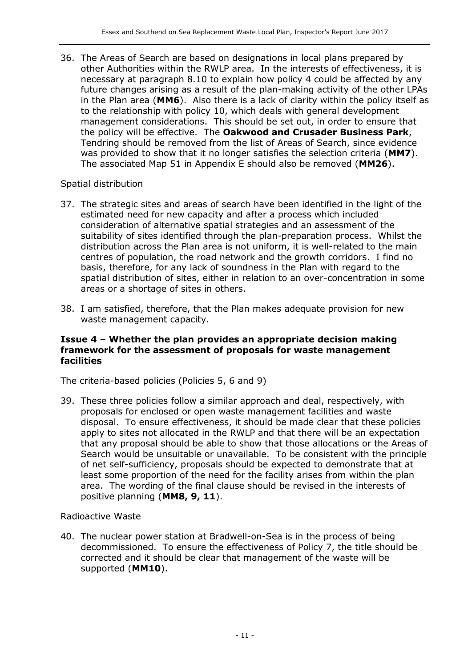36. The Areas of Search are based on designations in local plans prepared by other Authorities within the RWLP area. In the interests of effectiveness, it is necessary at paragraph 8.10 to explain how policy 4 could be affected by any future changes arising as a result of the plan-making activity of the other LPAs in the Plan area (**MM6**). Also there is a lack of clarity within the policy itself as to the relationship with policy 10, which deals with general development management considerations. This should be set out, in order to ensure that the policy will be effective. The **Oakwood and Crusader Business Park**, Tendring should be removed from the list of Areas of Search, since evidence was provided to show that it no longer satisfies the selection criteria (**MM7**). The associated Map 51 in Appendix E should also be removed (**MM26**).

#### Spatial distribution

- 37. The strategic sites and areas of search have been identified in the light of the estimated need for new capacity and after a process which included consideration of alternative spatial strategies and an assessment of the suitability of sites identified through the plan-preparation process. Whilst the distribution across the Plan area is not uniform, it is well-related to the main centres of population, the road network and the growth corridors. I find no basis, therefore, for any lack of soundness in the Plan with regard to the spatial distribution of sites, either in relation to an over-concentration in some areas or a shortage of sites in others.
- 38. I am satisfied, therefore, that the Plan makes adequate provision for new waste management capacity.

#### **Issue 4 – Whether the plan provides an appropriate decision making framework for the assessment of proposals for waste management facilities**

The criteria-based policies (Policies 5, 6 and 9)

39. These three policies follow a similar approach and deal, respectively, with proposals for enclosed or open waste management facilities and waste disposal. To ensure effectiveness, it should be made clear that these policies apply to sites not allocated in the RWLP and that there will be an expectation that any proposal should be able to show that those allocations or the Areas of Search would be unsuitable or unavailable. To be consistent with the principle of net self-sufficiency, proposals should be expected to demonstrate that at least some proportion of the need for the facility arises from within the plan area. The wording of the final clause should be revised in the interests of positive planning (**MM8, 9, 11**).

#### Radioactive Waste

40. The nuclear power station at Bradwell-on-Sea is in the process of being decommissioned. To ensure the effectiveness of Policy 7, the title should be corrected and it should be clear that management of the waste will be supported (**MM10**).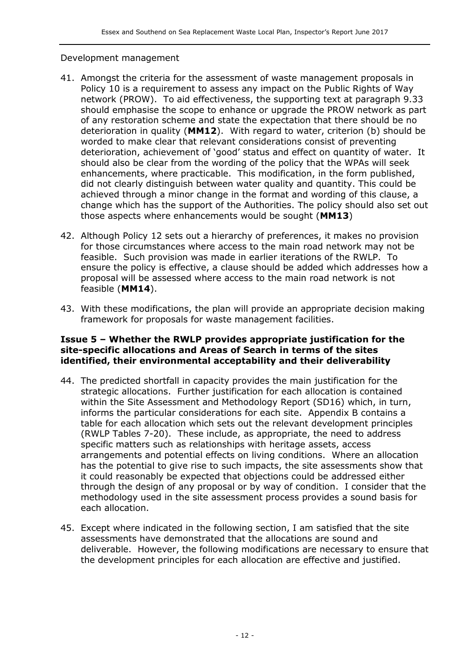#### Development management

- 41. Amongst the criteria for the assessment of waste management proposals in Policy 10 is a requirement to assess any impact on the Public Rights of Way network (PROW). To aid effectiveness, the supporting text at paragraph 9.33 should emphasise the scope to enhance or upgrade the PROW network as part of any restoration scheme and state the expectation that there should be no deterioration in quality (**MM12**). With regard to water, criterion (b) should be worded to make clear that relevant considerations consist of preventing deterioration, achievement of 'good' status and effect on quantity of water. It should also be clear from the wording of the policy that the WPAs will seek enhancements, where practicable. This modification, in the form published, did not clearly distinguish between water quality and quantity. This could be achieved through a minor change in the format and wording of this clause, a change which has the support of the Authorities. The policy should also set out those aspects where enhancements would be sought (**MM13**)
- 42. Although Policy 12 sets out a hierarchy of preferences, it makes no provision for those circumstances where access to the main road network may not be feasible. Such provision was made in earlier iterations of the RWLP. To ensure the policy is effective, a clause should be added which addresses how a proposal will be assessed where access to the main road network is not feasible (**MM14**).
- 43. With these modifications, the plan will provide an appropriate decision making framework for proposals for waste management facilities.

#### **Issue 5 – Whether the RWLP provides appropriate justification for the site-specific allocations and Areas of Search in terms of the sites identified, their environmental acceptability and their deliverability**

- 44. The predicted shortfall in capacity provides the main justification for the strategic allocations. Further justification for each allocation is contained within the Site Assessment and Methodology Report (SD16) which, in turn, informs the particular considerations for each site. Appendix B contains a table for each allocation which sets out the relevant development principles (RWLP Tables 7-20). These include, as appropriate, the need to address specific matters such as relationships with heritage assets, access arrangements and potential effects on living conditions. Where an allocation has the potential to give rise to such impacts, the site assessments show that it could reasonably be expected that objections could be addressed either through the design of any proposal or by way of condition. I consider that the methodology used in the site assessment process provides a sound basis for each allocation.
- 45. Except where indicated in the following section, I am satisfied that the site assessments have demonstrated that the allocations are sound and deliverable. However, the following modifications are necessary to ensure that the development principles for each allocation are effective and justified.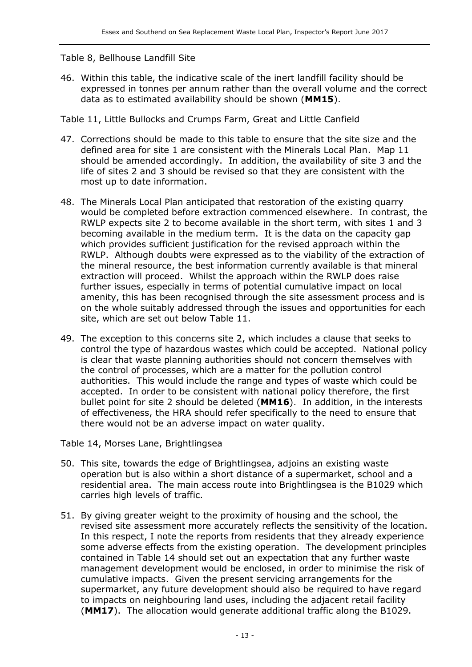#### Table 8, Bellhouse Landfill Site

46. Within this table, the indicative scale of the inert landfill facility should be expressed in tonnes per annum rather than the overall volume and the correct data as to estimated availability should be shown (**MM15**).

Table 11, Little Bullocks and Crumps Farm, Great and Little Canfield

- 47. Corrections should be made to this table to ensure that the site size and the defined area for site 1 are consistent with the Minerals Local Plan. Map 11 should be amended accordingly. In addition, the availability of site 3 and the life of sites 2 and 3 should be revised so that they are consistent with the most up to date information.
- 48. The Minerals Local Plan anticipated that restoration of the existing quarry would be completed before extraction commenced elsewhere. In contrast, the RWLP expects site 2 to become available in the short term, with sites 1 and 3 becoming available in the medium term. It is the data on the capacity gap which provides sufficient justification for the revised approach within the RWLP. Although doubts were expressed as to the viability of the extraction of the mineral resource, the best information currently available is that mineral extraction will proceed. Whilst the approach within the RWLP does raise further issues, especially in terms of potential cumulative impact on local amenity, this has been recognised through the site assessment process and is on the whole suitably addressed through the issues and opportunities for each site, which are set out below Table 11.
- 49. The exception to this concerns site 2, which includes a clause that seeks to control the type of hazardous wastes which could be accepted. National policy is clear that waste planning authorities should not concern themselves with the control of processes, which are a matter for the pollution control authorities. This would include the range and types of waste which could be accepted. In order to be consistent with national policy therefore, the first bullet point for site 2 should be deleted (**MM16**). In addition, in the interests of effectiveness, the HRA should refer specifically to the need to ensure that there would not be an adverse impact on water quality.

Table 14, Morses Lane, Brightlingsea

- 50. This site, towards the edge of Brightlingsea, adjoins an existing waste operation but is also within a short distance of a supermarket, school and a residential area. The main access route into Brightlingsea is the B1029 which carries high levels of traffic.
- 51. By giving greater weight to the proximity of housing and the school, the revised site assessment more accurately reflects the sensitivity of the location. In this respect, I note the reports from residents that they already experience some adverse effects from the existing operation. The development principles contained in Table 14 should set out an expectation that any further waste management development would be enclosed, in order to minimise the risk of cumulative impacts. Given the present servicing arrangements for the supermarket, any future development should also be required to have regard to impacts on neighbouring land uses, including the adjacent retail facility (**MM17**). The allocation would generate additional traffic along the B1029.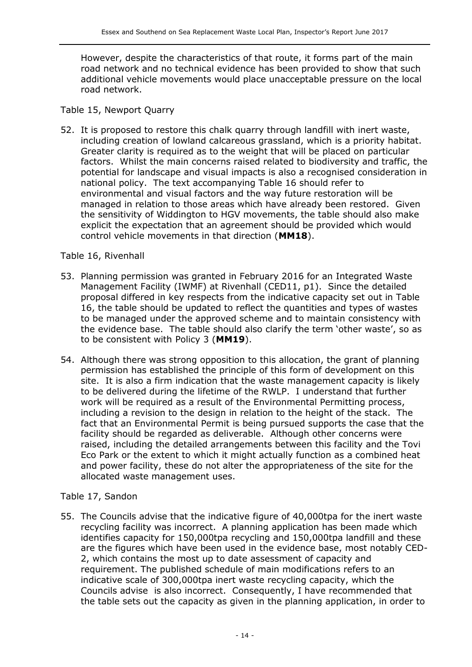However, despite the characteristics of that route, it forms part of the main road network and no technical evidence has been provided to show that such additional vehicle movements would place unacceptable pressure on the local road network.

#### Table 15, Newport Quarry

52. It is proposed to restore this chalk quarry through landfill with inert waste, including creation of lowland calcareous grassland, which is a priority habitat. Greater clarity is required as to the weight that will be placed on particular factors. Whilst the main concerns raised related to biodiversity and traffic, the potential for landscape and visual impacts is also a recognised consideration in national policy. The text accompanying Table 16 should refer to environmental and visual factors and the way future restoration will be managed in relation to those areas which have already been restored. Given the sensitivity of Widdington to HGV movements, the table should also make explicit the expectation that an agreement should be provided which would control vehicle movements in that direction (**MM18**).

#### Table 16, Rivenhall

- 53. Planning permission was granted in February 2016 for an Integrated Waste Management Facility (IWMF) at Rivenhall (CED11, p1). Since the detailed proposal differed in key respects from the indicative capacity set out in Table 16, the table should be updated to reflect the quantities and types of wastes to be managed under the approved scheme and to maintain consistency with the evidence base. The table should also clarify the term 'other waste', so as to be consistent with Policy 3 (**MM19**).
- 54. Although there was strong opposition to this allocation, the grant of planning permission has established the principle of this form of development on this site. It is also a firm indication that the waste management capacity is likely to be delivered during the lifetime of the RWLP. I understand that further work will be required as a result of the Environmental Permitting process, including a revision to the design in relation to the height of the stack. The fact that an Environmental Permit is being pursued supports the case that the facility should be regarded as deliverable. Although other concerns were raised, including the detailed arrangements between this facility and the Tovi Eco Park or the extent to which it might actually function as a combined heat and power facility, these do not alter the appropriateness of the site for the allocated waste management uses.

#### Table 17, Sandon

55. The Councils advise that the indicative figure of 40,000tpa for the inert waste recycling facility was incorrect. A planning application has been made which identifies capacity for 150,000tpa recycling and 150,000tpa landfill and these are the figures which have been used in the evidence base, most notably CED-2, which contains the most up to date assessment of capacity and requirement. The published schedule of main modifications refers to an indicative scale of 300,000tpa inert waste recycling capacity, which the Councils advise is also incorrect. Consequently, I have recommended that the table sets out the capacity as given in the planning application, in order to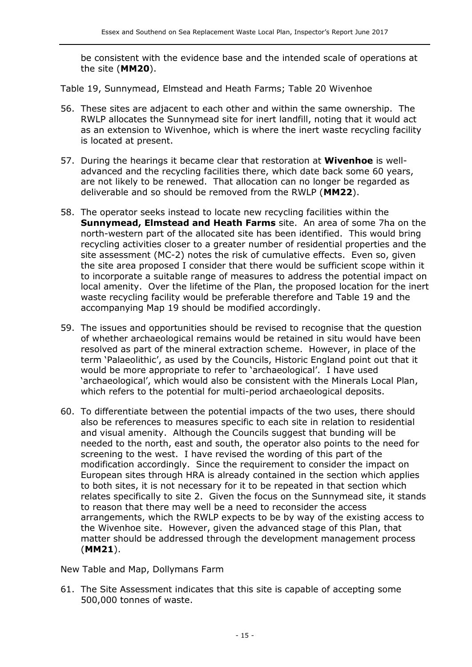be consistent with the evidence base and the intended scale of operations at the site (**MM20**).

Table 19, Sunnymead, Elmstead and Heath Farms; Table 20 Wivenhoe

- 56. These sites are adjacent to each other and within the same ownership. The RWLP allocates the Sunnymead site for inert landfill, noting that it would act as an extension to Wivenhoe, which is where the inert waste recycling facility is located at present.
- 57. During the hearings it became clear that restoration at **Wivenhoe** is welladvanced and the recycling facilities there, which date back some 60 years, are not likely to be renewed. That allocation can no longer be regarded as deliverable and so should be removed from the RWLP (**MM22**).
- 58. The operator seeks instead to locate new recycling facilities within the **Sunnymead, Elmstead and Heath Farms** site. An area of some 7ha on the north-western part of the allocated site has been identified. This would bring recycling activities closer to a greater number of residential properties and the site assessment (MC-2) notes the risk of cumulative effects. Even so, given the site area proposed I consider that there would be sufficient scope within it to incorporate a suitable range of measures to address the potential impact on local amenity. Over the lifetime of the Plan, the proposed location for the inert waste recycling facility would be preferable therefore and Table 19 and the accompanying Map 19 should be modified accordingly.
- 59. The issues and opportunities should be revised to recognise that the question of whether archaeological remains would be retained in situ would have been resolved as part of the mineral extraction scheme. However, in place of the term 'Palaeolithic', as used by the Councils, Historic England point out that it would be more appropriate to refer to 'archaeological'. I have used 'archaeological', which would also be consistent with the Minerals Local Plan, which refers to the potential for multi-period archaeological deposits.
- 60. To differentiate between the potential impacts of the two uses, there should also be references to measures specific to each site in relation to residential and visual amenity. Although the Councils suggest that bunding will be needed to the north, east and south, the operator also points to the need for screening to the west. I have revised the wording of this part of the modification accordingly. Since the requirement to consider the impact on European sites through HRA is already contained in the section which applies to both sites, it is not necessary for it to be repeated in that section which relates specifically to site 2. Given the focus on the Sunnymead site, it stands to reason that there may well be a need to reconsider the access arrangements, which the RWLP expects to be by way of the existing access to the Wivenhoe site. However, given the advanced stage of this Plan, that matter should be addressed through the development management process (**MM21**).

New Table and Map, Dollymans Farm

61. The Site Assessment indicates that this site is capable of accepting some 500,000 tonnes of waste.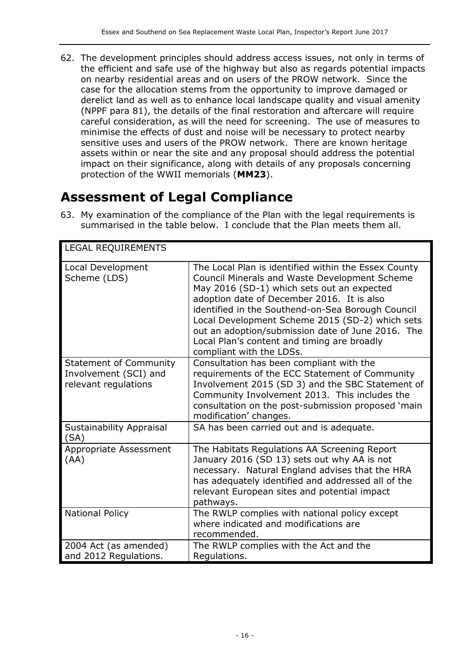62. The development principles should address access issues, not only in terms of the efficient and safe use of the highway but also as regards potential impacts on nearby residential areas and on users of the PROW network. Since the case for the allocation stems from the opportunity to improve damaged or derelict land as well as to enhance local landscape quality and visual amenity (NPPF para 81), the details of the final restoration and aftercare will require careful consideration, as will the need for screening. The use of measures to minimise the effects of dust and noise will be necessary to protect nearby sensitive uses and users of the PROW network. There are known heritage assets within or near the site and any proposal should address the potential impact on their significance, along with details of any proposals concerning protection of the WWII memorials (**MM23**).

## **Assessment of Legal Compliance**

63. My examination of the compliance of the Plan with the legal requirements is summarised in the table below. I conclude that the Plan meets them all.

| <b>LEGAL REQUIREMENTS</b>                                                      |                                                                                                                                                                                                                                                                                                                                                                                                                                                  |
|--------------------------------------------------------------------------------|--------------------------------------------------------------------------------------------------------------------------------------------------------------------------------------------------------------------------------------------------------------------------------------------------------------------------------------------------------------------------------------------------------------------------------------------------|
| Local Development<br>Scheme (LDS)                                              | The Local Plan is identified within the Essex County<br><b>Council Minerals and Waste Development Scheme</b><br>May 2016 (SD-1) which sets out an expected<br>adoption date of December 2016. It is also<br>identified in the Southend-on-Sea Borough Council<br>Local Development Scheme 2015 (SD-2) which sets<br>out an adoption/submission date of June 2016. The<br>Local Plan's content and timing are broadly<br>compliant with the LDSs. |
| <b>Statement of Community</b><br>Involvement (SCI) and<br>relevant regulations | Consultation has been compliant with the<br>requirements of the ECC Statement of Community<br>Involvement 2015 (SD 3) and the SBC Statement of<br>Community Involvement 2013. This includes the<br>consultation on the post-submission proposed 'main<br>modification' changes.                                                                                                                                                                  |
| Sustainability Appraisal<br>(SA)                                               | SA has been carried out and is adequate.                                                                                                                                                                                                                                                                                                                                                                                                         |
| Appropriate Assessment<br>(AA)                                                 | The Habitats Regulations AA Screening Report<br>January 2016 (SD 13) sets out why AA is not<br>necessary. Natural England advises that the HRA<br>has adequately identified and addressed all of the<br>relevant European sites and potential impact<br>pathways.                                                                                                                                                                                |
| <b>National Policy</b>                                                         | The RWLP complies with national policy except<br>where indicated and modifications are<br>recommended.                                                                                                                                                                                                                                                                                                                                           |
| 2004 Act (as amended)<br>and 2012 Regulations.                                 | The RWLP complies with the Act and the<br>Regulations.                                                                                                                                                                                                                                                                                                                                                                                           |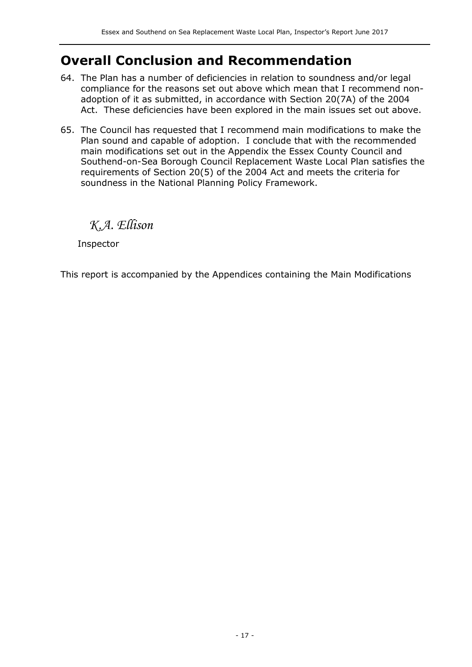## **Overall Conclusion and Recommendation**

- 64. The Plan has a number of deficiencies in relation to soundness and/or legal compliance for the reasons set out above which mean that I recommend nonadoption of it as submitted, in accordance with Section 20(7A) of the 2004 Act. These deficiencies have been explored in the main issues set out above.
- 65. The Council has requested that I recommend main modifications to make the Plan sound and capable of adoption. I conclude that with the recommended main modifications set out in the Appendix the Essex County Council and Southend-on-Sea Borough Council Replacement Waste Local Plan satisfies the requirements of Section 20(5) of the 2004 Act and meets the criteria for soundness in the National Planning Policy Framework.

*K.A. Ellison*

Inspector

This report is accompanied by the Appendices containing the Main Modifications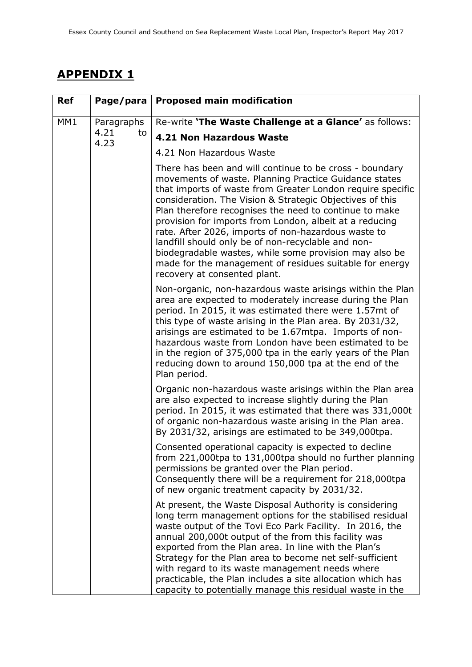## **APPENDIX 1**

| <b>Ref</b>      | Page/para          | <b>Proposed main modification</b>                                                                                                                                                                                                                                                                                                                                                                                                                                                                                                                                                                                                 |
|-----------------|--------------------|-----------------------------------------------------------------------------------------------------------------------------------------------------------------------------------------------------------------------------------------------------------------------------------------------------------------------------------------------------------------------------------------------------------------------------------------------------------------------------------------------------------------------------------------------------------------------------------------------------------------------------------|
| MM <sub>1</sub> | Paragraphs         | Re-write 'The Waste Challenge at a Glance' as follows:                                                                                                                                                                                                                                                                                                                                                                                                                                                                                                                                                                            |
|                 | 4.21<br>to<br>4.23 | 4.21 Non Hazardous Waste                                                                                                                                                                                                                                                                                                                                                                                                                                                                                                                                                                                                          |
|                 |                    | 4.21 Non Hazardous Waste                                                                                                                                                                                                                                                                                                                                                                                                                                                                                                                                                                                                          |
|                 |                    | There has been and will continue to be cross - boundary<br>movements of waste. Planning Practice Guidance states<br>that imports of waste from Greater London require specific<br>consideration. The Vision & Strategic Objectives of this<br>Plan therefore recognises the need to continue to make<br>provision for imports from London, albeit at a reducing<br>rate. After 2026, imports of non-hazardous waste to<br>landfill should only be of non-recyclable and non-<br>biodegradable wastes, while some provision may also be<br>made for the management of residues suitable for energy<br>recovery at consented plant. |
|                 |                    | Non-organic, non-hazardous waste arisings within the Plan<br>area are expected to moderately increase during the Plan<br>period. In 2015, it was estimated there were 1.57mt of<br>this type of waste arising in the Plan area. By 2031/32,<br>arisings are estimated to be 1.67mtpa. Imports of non-<br>hazardous waste from London have been estimated to be<br>in the region of 375,000 tpa in the early years of the Plan<br>reducing down to around 150,000 tpa at the end of the<br>Plan period.                                                                                                                            |
|                 |                    | Organic non-hazardous waste arisings within the Plan area<br>are also expected to increase slightly during the Plan<br>period. In 2015, it was estimated that there was 331,000t<br>of organic non-hazardous waste arising in the Plan area.<br>By 2031/32, arisings are estimated to be 349,000tpa.                                                                                                                                                                                                                                                                                                                              |
|                 |                    | Consented operational capacity is expected to decline<br>from 221,000tpa to 131,000tpa should no further planning<br>permissions be granted over the Plan period.<br>Consequently there will be a requirement for 218,000tpa<br>of new organic treatment capacity by 2031/32.                                                                                                                                                                                                                                                                                                                                                     |
|                 |                    | At present, the Waste Disposal Authority is considering<br>long term management options for the stabilised residual<br>waste output of the Tovi Eco Park Facility. In 2016, the<br>annual 200,000t output of the from this facility was<br>exported from the Plan area. In line with the Plan's<br>Strategy for the Plan area to become net self-sufficient<br>with regard to its waste management needs where<br>practicable, the Plan includes a site allocation which has<br>capacity to potentially manage this residual waste in the                                                                                         |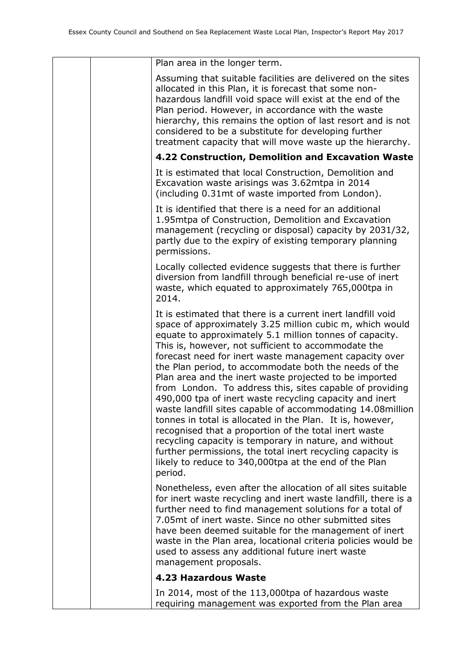| Plan area in the longer term.                                                                                                                                                                                                                                                                                                                                                                                                                                                                                                                                                                                                                                                                                                                                                                                                                                                                                                 |
|-------------------------------------------------------------------------------------------------------------------------------------------------------------------------------------------------------------------------------------------------------------------------------------------------------------------------------------------------------------------------------------------------------------------------------------------------------------------------------------------------------------------------------------------------------------------------------------------------------------------------------------------------------------------------------------------------------------------------------------------------------------------------------------------------------------------------------------------------------------------------------------------------------------------------------|
| Assuming that suitable facilities are delivered on the sites<br>allocated in this Plan, it is forecast that some non-<br>hazardous landfill void space will exist at the end of the<br>Plan period. However, in accordance with the waste<br>hierarchy, this remains the option of last resort and is not<br>considered to be a substitute for developing further<br>treatment capacity that will move waste up the hierarchy.                                                                                                                                                                                                                                                                                                                                                                                                                                                                                                |
| 4.22 Construction, Demolition and Excavation Waste                                                                                                                                                                                                                                                                                                                                                                                                                                                                                                                                                                                                                                                                                                                                                                                                                                                                            |
| It is estimated that local Construction, Demolition and<br>Excavation waste arisings was 3.62mtpa in 2014<br>(including 0.31mt of waste imported from London).                                                                                                                                                                                                                                                                                                                                                                                                                                                                                                                                                                                                                                                                                                                                                                |
| It is identified that there is a need for an additional<br>1.95mtpa of Construction, Demolition and Excavation<br>management (recycling or disposal) capacity by 2031/32,<br>partly due to the expiry of existing temporary planning<br>permissions.                                                                                                                                                                                                                                                                                                                                                                                                                                                                                                                                                                                                                                                                          |
| Locally collected evidence suggests that there is further<br>diversion from landfill through beneficial re-use of inert<br>waste, which equated to approximately 765,000tpa in<br>2014.                                                                                                                                                                                                                                                                                                                                                                                                                                                                                                                                                                                                                                                                                                                                       |
| It is estimated that there is a current inert landfill void<br>space of approximately 3.25 million cubic m, which would<br>equate to approximately 5.1 million tonnes of capacity.<br>This is, however, not sufficient to accommodate the<br>forecast need for inert waste management capacity over<br>the Plan period, to accommodate both the needs of the<br>Plan area and the inert waste projected to be imported<br>from London. To address this, sites capable of providing<br>490,000 tpa of inert waste recycling capacity and inert<br>waste landfill sites capable of accommodating 14.08million<br>tonnes in total is allocated in the Plan. It is, however,<br>recognised that a proportion of the total inert waste<br>recycling capacity is temporary in nature, and without<br>further permissions, the total inert recycling capacity is<br>likely to reduce to 340,000tpa at the end of the Plan<br>period. |
| Nonetheless, even after the allocation of all sites suitable<br>for inert waste recycling and inert waste landfill, there is a<br>further need to find management solutions for a total of<br>7.05mt of inert waste. Since no other submitted sites<br>have been deemed suitable for the management of inert<br>waste in the Plan area, locational criteria policies would be<br>used to assess any additional future inert waste<br>management proposals.                                                                                                                                                                                                                                                                                                                                                                                                                                                                    |
| 4.23 Hazardous Waste                                                                                                                                                                                                                                                                                                                                                                                                                                                                                                                                                                                                                                                                                                                                                                                                                                                                                                          |
| In 2014, most of the 113,000tpa of hazardous waste<br>requiring management was exported from the Plan area                                                                                                                                                                                                                                                                                                                                                                                                                                                                                                                                                                                                                                                                                                                                                                                                                    |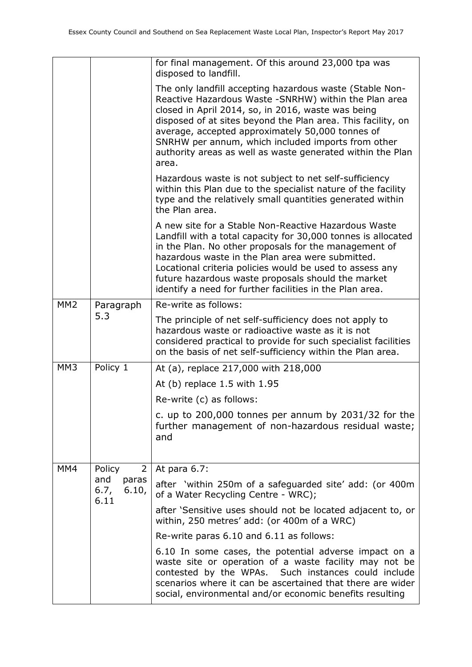|                 |                                       | for final management. Of this around 23,000 tpa was<br>disposed to landfill.                                                                                                                                                                                                                                                                                                                                              |
|-----------------|---------------------------------------|---------------------------------------------------------------------------------------------------------------------------------------------------------------------------------------------------------------------------------------------------------------------------------------------------------------------------------------------------------------------------------------------------------------------------|
|                 |                                       | The only landfill accepting hazardous waste (Stable Non-<br>Reactive Hazardous Waste - SNRHW) within the Plan area<br>closed in April 2014, so, in 2016, waste was being<br>disposed of at sites beyond the Plan area. This facility, on<br>average, accepted approximately 50,000 tonnes of<br>SNRHW per annum, which included imports from other<br>authority areas as well as waste generated within the Plan<br>area. |
|                 |                                       | Hazardous waste is not subject to net self-sufficiency<br>within this Plan due to the specialist nature of the facility<br>type and the relatively small quantities generated within<br>the Plan area.                                                                                                                                                                                                                    |
|                 |                                       | A new site for a Stable Non-Reactive Hazardous Waste<br>Landfill with a total capacity for 30,000 tonnes is allocated<br>in the Plan. No other proposals for the management of<br>hazardous waste in the Plan area were submitted.<br>Locational criteria policies would be used to assess any<br>future hazardous waste proposals should the market<br>identify a need for further facilities in the Plan area.          |
| MM <sub>2</sub> | Paragraph                             | Re-write as follows:                                                                                                                                                                                                                                                                                                                                                                                                      |
|                 | 5.3                                   | The principle of net self-sufficiency does not apply to<br>hazardous waste or radioactive waste as it is not<br>considered practical to provide for such specialist facilities<br>on the basis of net self-sufficiency within the Plan area.                                                                                                                                                                              |
| MM <sub>3</sub> | Policy 1                              | At (a), replace 217,000 with 218,000                                                                                                                                                                                                                                                                                                                                                                                      |
|                 |                                       | At (b) replace 1.5 with 1.95                                                                                                                                                                                                                                                                                                                                                                                              |
|                 |                                       | Re-write (c) as follows:                                                                                                                                                                                                                                                                                                                                                                                                  |
|                 |                                       | c. up to 200,000 tonnes per annum by 2031/32 for the<br>further management of non-hazardous residual waste;<br>and                                                                                                                                                                                                                                                                                                        |
| MM4             | $\overline{2}$<br>Policy              | At para 6.7:                                                                                                                                                                                                                                                                                                                                                                                                              |
|                 | and<br>paras<br>6.7,<br>6.10,<br>6.11 | after 'within 250m of a safeguarded site' add: (or 400m<br>of a Water Recycling Centre - WRC);                                                                                                                                                                                                                                                                                                                            |
|                 |                                       | after 'Sensitive uses should not be located adjacent to, or<br>within, 250 metres' add: (or 400m of a WRC)                                                                                                                                                                                                                                                                                                                |
|                 |                                       | Re-write paras 6.10 and 6.11 as follows:                                                                                                                                                                                                                                                                                                                                                                                  |
|                 |                                       | 6.10 In some cases, the potential adverse impact on a<br>waste site or operation of a waste facility may not be<br>contested by the WPAs. Such instances could include<br>scenarios where it can be ascertained that there are wider<br>social, environmental and/or economic benefits resulting                                                                                                                          |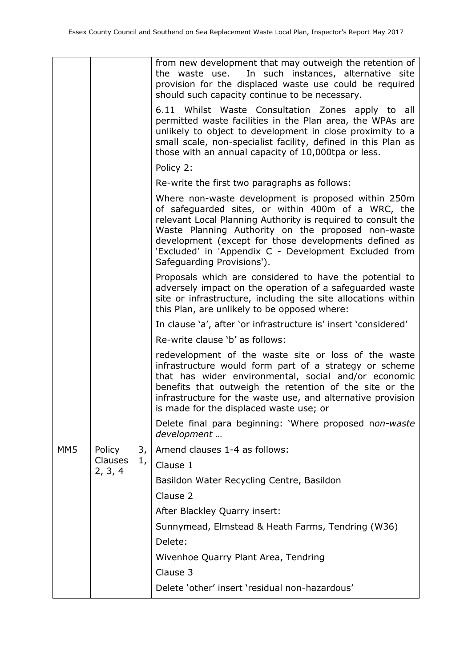|     |                    |    | from new development that may outweigh the retention of<br>In such instances, alternative site<br>the waste use.<br>provision for the displaced waste use could be required<br>should such capacity continue to be necessary.                                                                                                                                                   |
|-----|--------------------|----|---------------------------------------------------------------------------------------------------------------------------------------------------------------------------------------------------------------------------------------------------------------------------------------------------------------------------------------------------------------------------------|
|     |                    |    | 6.11 Whilst Waste Consultation Zones apply to all<br>permitted waste facilities in the Plan area, the WPAs are<br>unlikely to object to development in close proximity to a<br>small scale, non-specialist facility, defined in this Plan as<br>those with an annual capacity of 10,000tpa or less.                                                                             |
|     |                    |    | Policy 2:                                                                                                                                                                                                                                                                                                                                                                       |
|     |                    |    | Re-write the first two paragraphs as follows:                                                                                                                                                                                                                                                                                                                                   |
|     |                    |    | Where non-waste development is proposed within 250m<br>of safeguarded sites, or within 400m of a WRC, the<br>relevant Local Planning Authority is required to consult the<br>Waste Planning Authority on the proposed non-waste<br>development (except for those developments defined as<br>'Excluded' in 'Appendix C - Development Excluded from<br>Safeguarding Provisions'). |
|     |                    |    | Proposals which are considered to have the potential to<br>adversely impact on the operation of a safeguarded waste<br>site or infrastructure, including the site allocations within<br>this Plan, are unlikely to be opposed where:                                                                                                                                            |
|     |                    |    | In clause 'a', after 'or infrastructure is' insert 'considered'                                                                                                                                                                                                                                                                                                                 |
|     |                    |    | Re-write clause 'b' as follows:                                                                                                                                                                                                                                                                                                                                                 |
|     |                    |    | redevelopment of the waste site or loss of the waste<br>infrastructure would form part of a strategy or scheme<br>that has wider environmental, social and/or economic<br>benefits that outweigh the retention of the site or the<br>infrastructure for the waste use, and alternative provision<br>is made for the displaced waste use; or                                     |
|     |                    |    | Delete final para beginning: 'Where proposed non-waste<br>development                                                                                                                                                                                                                                                                                                           |
| MM5 | Policy             | 3, | Amend clauses 1-4 as follows:                                                                                                                                                                                                                                                                                                                                                   |
|     | Clauses<br>2, 3, 4 | 1, | Clause 1                                                                                                                                                                                                                                                                                                                                                                        |
|     |                    |    | Basildon Water Recycling Centre, Basildon                                                                                                                                                                                                                                                                                                                                       |
|     |                    |    | Clause 2                                                                                                                                                                                                                                                                                                                                                                        |
|     |                    |    | After Blackley Quarry insert:                                                                                                                                                                                                                                                                                                                                                   |
|     |                    |    | Sunnymead, Elmstead & Heath Farms, Tendring (W36)                                                                                                                                                                                                                                                                                                                               |
|     |                    |    | Delete:                                                                                                                                                                                                                                                                                                                                                                         |
|     |                    |    | Wivenhoe Quarry Plant Area, Tendring                                                                                                                                                                                                                                                                                                                                            |
|     |                    |    | Clause 3                                                                                                                                                                                                                                                                                                                                                                        |
|     |                    |    | Delete 'other' insert 'residual non-hazardous'                                                                                                                                                                                                                                                                                                                                  |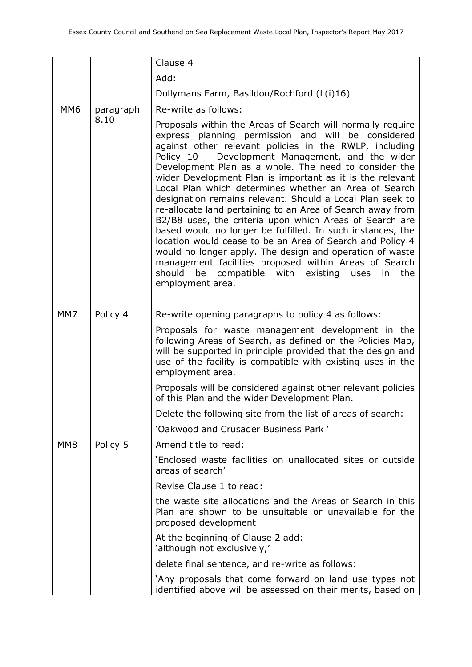|                 |           | Clause 4                                                                                                                                                                                                                                                                                                                                                                                                                                                                                                                                                                                                                                                                                                                                                                                                                                                                                                                         |
|-----------------|-----------|----------------------------------------------------------------------------------------------------------------------------------------------------------------------------------------------------------------------------------------------------------------------------------------------------------------------------------------------------------------------------------------------------------------------------------------------------------------------------------------------------------------------------------------------------------------------------------------------------------------------------------------------------------------------------------------------------------------------------------------------------------------------------------------------------------------------------------------------------------------------------------------------------------------------------------|
|                 |           | Add:                                                                                                                                                                                                                                                                                                                                                                                                                                                                                                                                                                                                                                                                                                                                                                                                                                                                                                                             |
|                 |           | Dollymans Farm, Basildon/Rochford (L(i)16)                                                                                                                                                                                                                                                                                                                                                                                                                                                                                                                                                                                                                                                                                                                                                                                                                                                                                       |
| MM <sub>6</sub> | paragraph | Re-write as follows:                                                                                                                                                                                                                                                                                                                                                                                                                                                                                                                                                                                                                                                                                                                                                                                                                                                                                                             |
|                 | 8.10      | Proposals within the Areas of Search will normally require<br>express planning permission and will be considered<br>against other relevant policies in the RWLP, including<br>Policy 10 - Development Management, and the wider<br>Development Plan as a whole. The need to consider the<br>wider Development Plan is important as it is the relevant<br>Local Plan which determines whether an Area of Search<br>designation remains relevant. Should a Local Plan seek to<br>re-allocate land pertaining to an Area of Search away from<br>B2/B8 uses, the criteria upon which Areas of Search are<br>based would no longer be fulfilled. In such instances, the<br>location would cease to be an Area of Search and Policy 4<br>would no longer apply. The design and operation of waste<br>management facilities proposed within Areas of Search<br>be compatible with existing uses<br>should<br>in the<br>employment area. |
| MM7             | Policy 4  | Re-write opening paragraphs to policy 4 as follows:                                                                                                                                                                                                                                                                                                                                                                                                                                                                                                                                                                                                                                                                                                                                                                                                                                                                              |
|                 |           | Proposals for waste management development in the<br>following Areas of Search, as defined on the Policies Map,<br>will be supported in principle provided that the design and<br>use of the facility is compatible with existing uses in the<br>employment area.                                                                                                                                                                                                                                                                                                                                                                                                                                                                                                                                                                                                                                                                |
|                 |           | Proposals will be considered against other relevant policies<br>of this Plan and the wider Development Plan.                                                                                                                                                                                                                                                                                                                                                                                                                                                                                                                                                                                                                                                                                                                                                                                                                     |
|                 |           | Delete the following site from the list of areas of search:                                                                                                                                                                                                                                                                                                                                                                                                                                                                                                                                                                                                                                                                                                                                                                                                                                                                      |
|                 |           | 'Oakwood and Crusader Business Park '                                                                                                                                                                                                                                                                                                                                                                                                                                                                                                                                                                                                                                                                                                                                                                                                                                                                                            |
| MM <sub>8</sub> | Policy 5  | Amend title to read:                                                                                                                                                                                                                                                                                                                                                                                                                                                                                                                                                                                                                                                                                                                                                                                                                                                                                                             |
|                 |           | 'Enclosed waste facilities on unallocated sites or outside<br>areas of search'                                                                                                                                                                                                                                                                                                                                                                                                                                                                                                                                                                                                                                                                                                                                                                                                                                                   |
|                 |           | Revise Clause 1 to read:                                                                                                                                                                                                                                                                                                                                                                                                                                                                                                                                                                                                                                                                                                                                                                                                                                                                                                         |
|                 |           | the waste site allocations and the Areas of Search in this<br>Plan are shown to be unsuitable or unavailable for the<br>proposed development                                                                                                                                                                                                                                                                                                                                                                                                                                                                                                                                                                                                                                                                                                                                                                                     |
|                 |           | At the beginning of Clause 2 add:<br>'although not exclusively,'                                                                                                                                                                                                                                                                                                                                                                                                                                                                                                                                                                                                                                                                                                                                                                                                                                                                 |
|                 |           | delete final sentence, and re-write as follows:                                                                                                                                                                                                                                                                                                                                                                                                                                                                                                                                                                                                                                                                                                                                                                                                                                                                                  |
|                 |           | `Any proposals that come forward on land use types not<br>identified above will be assessed on their merits, based on                                                                                                                                                                                                                                                                                                                                                                                                                                                                                                                                                                                                                                                                                                                                                                                                            |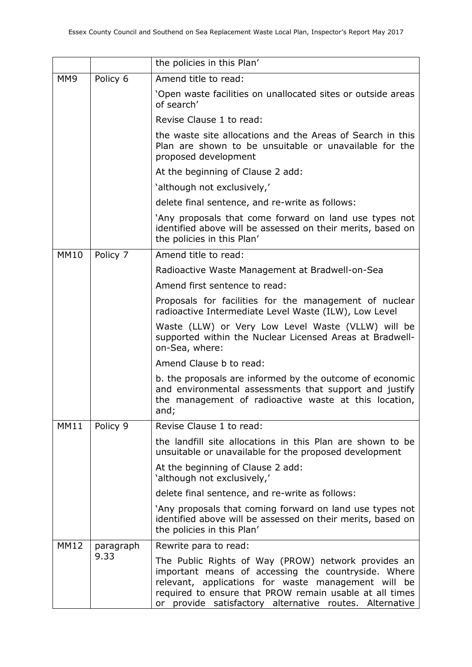|                 |           | the policies in this Plan'                                                                                                                                                                                                                                                              |
|-----------------|-----------|-----------------------------------------------------------------------------------------------------------------------------------------------------------------------------------------------------------------------------------------------------------------------------------------|
| MM <sub>9</sub> | Policy 6  | Amend title to read:                                                                                                                                                                                                                                                                    |
|                 |           | 'Open waste facilities on unallocated sites or outside areas<br>of search'                                                                                                                                                                                                              |
|                 |           | Revise Clause 1 to read:                                                                                                                                                                                                                                                                |
|                 |           | the waste site allocations and the Areas of Search in this<br>Plan are shown to be unsuitable or unavailable for the<br>proposed development                                                                                                                                            |
|                 |           | At the beginning of Clause 2 add:                                                                                                                                                                                                                                                       |
|                 |           | 'although not exclusively,'                                                                                                                                                                                                                                                             |
|                 |           | delete final sentence, and re-write as follows:                                                                                                                                                                                                                                         |
|                 |           | 'Any proposals that come forward on land use types not<br>identified above will be assessed on their merits, based on<br>the policies in this Plan'                                                                                                                                     |
| <b>MM10</b>     | Policy 7  | Amend title to read:                                                                                                                                                                                                                                                                    |
|                 |           | Radioactive Waste Management at Bradwell-on-Sea                                                                                                                                                                                                                                         |
|                 |           | Amend first sentence to read:                                                                                                                                                                                                                                                           |
|                 |           | Proposals for facilities for the management of nuclear<br>radioactive Intermediate Level Waste (ILW), Low Level                                                                                                                                                                         |
|                 |           | Waste (LLW) or Very Low Level Waste (VLLW) will be<br>supported within the Nuclear Licensed Areas at Bradwell-<br>on-Sea, where:                                                                                                                                                        |
|                 |           | Amend Clause b to read:                                                                                                                                                                                                                                                                 |
|                 |           | b. the proposals are informed by the outcome of economic<br>and environmental assessments that support and justify<br>the management of radioactive waste at this location,<br>and;                                                                                                     |
| <b>MM11</b>     | Policy 9  | Revise Clause 1 to read:                                                                                                                                                                                                                                                                |
|                 |           | the landfill site allocations in this Plan are shown to be<br>unsuitable or unavailable for the proposed development                                                                                                                                                                    |
|                 |           | At the beginning of Clause 2 add:<br>'although not exclusively,'                                                                                                                                                                                                                        |
|                 |           | delete final sentence, and re-write as follows:                                                                                                                                                                                                                                         |
|                 |           | 'Any proposals that coming forward on land use types not<br>identified above will be assessed on their merits, based on<br>the policies in this Plan'                                                                                                                                   |
| <b>MM12</b>     | paragraph | Rewrite para to read:                                                                                                                                                                                                                                                                   |
|                 | 9.33      | The Public Rights of Way (PROW) network provides an<br>important means of accessing the countryside. Where<br>relevant, applications for waste management will be<br>required to ensure that PROW remain usable at all times<br>or provide satisfactory alternative routes. Alternative |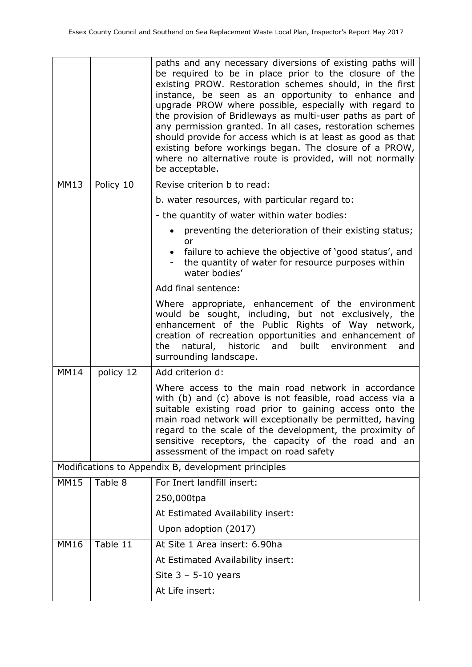|             |           | paths and any necessary diversions of existing paths will<br>be required to be in place prior to the closure of the<br>existing PROW. Restoration schemes should, in the first<br>instance, be seen as an opportunity to enhance and<br>upgrade PROW where possible, especially with regard to<br>the provision of Bridleways as multi-user paths as part of<br>any permission granted. In all cases, restoration schemes<br>should provide for access which is at least as good as that<br>existing before workings began. The closure of a PROW,<br>where no alternative route is provided, will not normally<br>be acceptable. |
|-------------|-----------|-----------------------------------------------------------------------------------------------------------------------------------------------------------------------------------------------------------------------------------------------------------------------------------------------------------------------------------------------------------------------------------------------------------------------------------------------------------------------------------------------------------------------------------------------------------------------------------------------------------------------------------|
| <b>MM13</b> | Policy 10 | Revise criterion b to read:                                                                                                                                                                                                                                                                                                                                                                                                                                                                                                                                                                                                       |
|             |           | b. water resources, with particular regard to:                                                                                                                                                                                                                                                                                                                                                                                                                                                                                                                                                                                    |
|             |           | - the quantity of water within water bodies:                                                                                                                                                                                                                                                                                                                                                                                                                                                                                                                                                                                      |
|             |           | preventing the deterioration of their existing status;<br>or<br>failure to achieve the objective of 'good status', and<br>$\bullet$<br>the quantity of water for resource purposes within<br>water bodies'                                                                                                                                                                                                                                                                                                                                                                                                                        |
|             |           | Add final sentence:                                                                                                                                                                                                                                                                                                                                                                                                                                                                                                                                                                                                               |
|             |           | Where appropriate, enhancement of the environment<br>would be sought, including, but not exclusively, the<br>enhancement of the Public Rights of Way network,<br>creation of recreation opportunities and enhancement of<br>natural, historic<br>and built environment<br>the<br>and<br>surrounding landscape.                                                                                                                                                                                                                                                                                                                    |
| <b>MM14</b> | policy 12 | Add criterion d:                                                                                                                                                                                                                                                                                                                                                                                                                                                                                                                                                                                                                  |
|             |           | Where access to the main road network in accordance<br>with (b) and (c) above is not feasible, road access via a<br>suitable existing road prior to gaining access onto the<br>main road network will exceptionally be permitted, having<br>regard to the scale of the development, the proximity of<br>sensitive receptors, the capacity of the road and an<br>assessment of the impact on road safety                                                                                                                                                                                                                           |
|             |           | Modifications to Appendix B, development principles                                                                                                                                                                                                                                                                                                                                                                                                                                                                                                                                                                               |
| <b>MM15</b> | Table 8   | For Inert landfill insert:                                                                                                                                                                                                                                                                                                                                                                                                                                                                                                                                                                                                        |
|             |           | 250,000tpa                                                                                                                                                                                                                                                                                                                                                                                                                                                                                                                                                                                                                        |
|             |           | At Estimated Availability insert:                                                                                                                                                                                                                                                                                                                                                                                                                                                                                                                                                                                                 |
|             |           | Upon adoption (2017)                                                                                                                                                                                                                                                                                                                                                                                                                                                                                                                                                                                                              |
| <b>MM16</b> | Table 11  | At Site 1 Area insert: 6.90ha                                                                                                                                                                                                                                                                                                                                                                                                                                                                                                                                                                                                     |
|             |           | At Estimated Availability insert:                                                                                                                                                                                                                                                                                                                                                                                                                                                                                                                                                                                                 |
|             |           | Site $3 - 5 - 10$ years                                                                                                                                                                                                                                                                                                                                                                                                                                                                                                                                                                                                           |
|             |           | At Life insert:                                                                                                                                                                                                                                                                                                                                                                                                                                                                                                                                                                                                                   |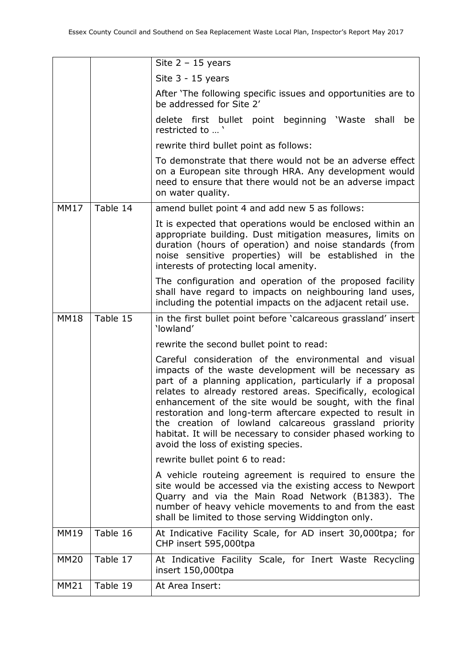|             |          | Site $2 - 15$ years                                                                                                                                                                                                                                                                                                                                                                                                                                                                                                                |
|-------------|----------|------------------------------------------------------------------------------------------------------------------------------------------------------------------------------------------------------------------------------------------------------------------------------------------------------------------------------------------------------------------------------------------------------------------------------------------------------------------------------------------------------------------------------------|
|             |          | Site 3 - 15 years                                                                                                                                                                                                                                                                                                                                                                                                                                                                                                                  |
|             |          | After 'The following specific issues and opportunities are to<br>be addressed for Site 2'                                                                                                                                                                                                                                                                                                                                                                                                                                          |
|             |          | delete first bullet point beginning 'Waste<br>shall<br>be<br>restricted to '                                                                                                                                                                                                                                                                                                                                                                                                                                                       |
|             |          | rewrite third bullet point as follows:                                                                                                                                                                                                                                                                                                                                                                                                                                                                                             |
|             |          | To demonstrate that there would not be an adverse effect<br>on a European site through HRA. Any development would<br>need to ensure that there would not be an adverse impact<br>on water quality.                                                                                                                                                                                                                                                                                                                                 |
| <b>MM17</b> | Table 14 | amend bullet point 4 and add new 5 as follows:                                                                                                                                                                                                                                                                                                                                                                                                                                                                                     |
|             |          | It is expected that operations would be enclosed within an<br>appropriate building. Dust mitigation measures, limits on<br>duration (hours of operation) and noise standards (from<br>noise sensitive properties) will be established in the<br>interests of protecting local amenity.                                                                                                                                                                                                                                             |
|             |          | The configuration and operation of the proposed facility<br>shall have regard to impacts on neighbouring land uses,<br>including the potential impacts on the adjacent retail use.                                                                                                                                                                                                                                                                                                                                                 |
| MM18        | Table 15 | in the first bullet point before 'calcareous grassland' insert<br>'lowland'                                                                                                                                                                                                                                                                                                                                                                                                                                                        |
|             |          | rewrite the second bullet point to read:                                                                                                                                                                                                                                                                                                                                                                                                                                                                                           |
|             |          | Careful consideration of the environmental and visual<br>impacts of the waste development will be necessary as<br>part of a planning application, particularly if a proposal<br>relates to already restored areas. Specifically, ecological<br>enhancement of the site would be sought, with the final<br>restoration and long-term aftercare expected to result in<br>the creation of lowland calcareous grassland priority<br>habitat. It will be necessary to consider phased working to<br>avoid the loss of existing species. |
|             |          | rewrite bullet point 6 to read:                                                                                                                                                                                                                                                                                                                                                                                                                                                                                                    |
|             |          | A vehicle routeing agreement is required to ensure the<br>site would be accessed via the existing access to Newport<br>Quarry and via the Main Road Network (B1383). The<br>number of heavy vehicle movements to and from the east<br>shall be limited to those serving Widdington only.                                                                                                                                                                                                                                           |
| <b>MM19</b> | Table 16 | At Indicative Facility Scale, for AD insert 30,000tpa; for<br>CHP insert 595,000tpa                                                                                                                                                                                                                                                                                                                                                                                                                                                |
| <b>MM20</b> | Table 17 | At Indicative Facility Scale, for Inert Waste Recycling<br>insert 150,000tpa                                                                                                                                                                                                                                                                                                                                                                                                                                                       |
| <b>MM21</b> | Table 19 | At Area Insert:                                                                                                                                                                                                                                                                                                                                                                                                                                                                                                                    |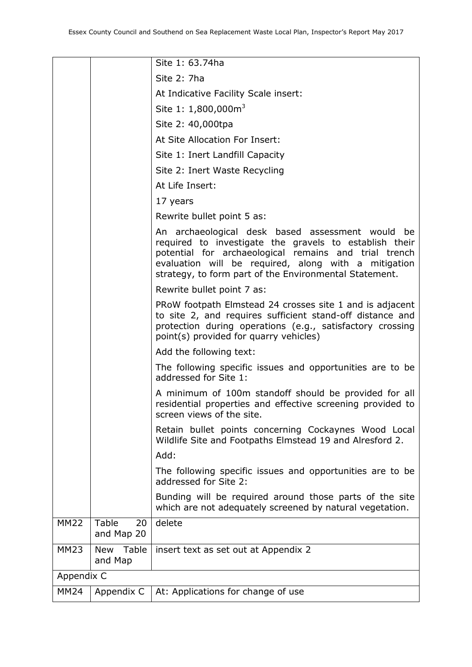|             |                           | Site 1: 63.74ha                                                                                                                                                                                                                                                                       |
|-------------|---------------------------|---------------------------------------------------------------------------------------------------------------------------------------------------------------------------------------------------------------------------------------------------------------------------------------|
|             |                           | Site 2: 7ha                                                                                                                                                                                                                                                                           |
|             |                           | At Indicative Facility Scale insert:                                                                                                                                                                                                                                                  |
|             |                           | Site 1: 1,800,000m <sup>3</sup>                                                                                                                                                                                                                                                       |
|             |                           | Site 2: 40,000tpa                                                                                                                                                                                                                                                                     |
|             |                           | At Site Allocation For Insert:                                                                                                                                                                                                                                                        |
|             |                           | Site 1: Inert Landfill Capacity                                                                                                                                                                                                                                                       |
|             |                           | Site 2: Inert Waste Recycling                                                                                                                                                                                                                                                         |
|             |                           | At Life Insert:                                                                                                                                                                                                                                                                       |
|             |                           | 17 years                                                                                                                                                                                                                                                                              |
|             |                           | Rewrite bullet point 5 as:                                                                                                                                                                                                                                                            |
|             |                           | An archaeological desk based assessment would be<br>required to investigate the gravels to establish their<br>potential for archaeological remains and trial trench<br>evaluation will be required, along with a mitigation<br>strategy, to form part of the Environmental Statement. |
|             |                           | Rewrite bullet point 7 as:                                                                                                                                                                                                                                                            |
|             |                           | PRoW footpath Elmstead 24 crosses site 1 and is adjacent<br>to site 2, and requires sufficient stand-off distance and<br>protection during operations (e.g., satisfactory crossing<br>point(s) provided for quarry vehicles)                                                          |
|             |                           | Add the following text:                                                                                                                                                                                                                                                               |
|             |                           | The following specific issues and opportunities are to be<br>addressed for Site 1:                                                                                                                                                                                                    |
|             |                           | A minimum of 100m standoff should be provided for all<br>residential properties and effective screening provided to<br>screen views of the site.                                                                                                                                      |
|             |                           | Retain bullet points concerning Cockaynes Wood Local<br>Wildlife Site and Footpaths Elmstead 19 and Alresford 2.                                                                                                                                                                      |
|             |                           | Add:                                                                                                                                                                                                                                                                                  |
|             |                           | The following specific issues and opportunities are to be<br>addressed for Site 2:                                                                                                                                                                                                    |
|             |                           | Bunding will be required around those parts of the site<br>which are not adequately screened by natural vegetation.                                                                                                                                                                   |
| <b>MM22</b> | Table<br>20<br>and Map 20 | delete                                                                                                                                                                                                                                                                                |
| <b>MM23</b> | New Table<br>and Map      | insert text as set out at Appendix 2                                                                                                                                                                                                                                                  |
| Appendix C  |                           |                                                                                                                                                                                                                                                                                       |
| <b>MM24</b> | Appendix C                | At: Applications for change of use                                                                                                                                                                                                                                                    |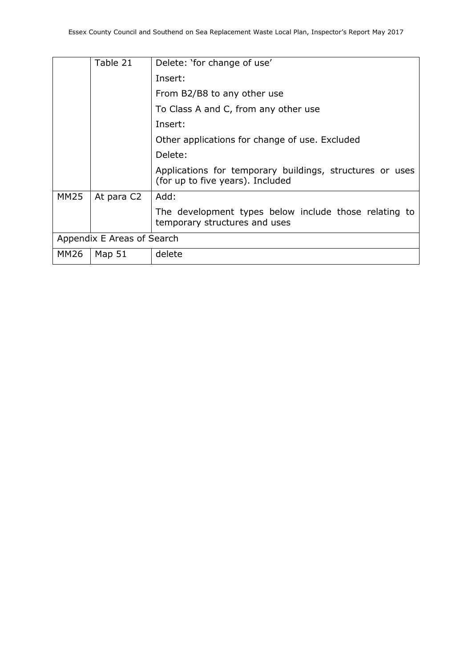|             | Table 21                   | Delete: 'for change of use'                                                                  |
|-------------|----------------------------|----------------------------------------------------------------------------------------------|
|             |                            | Insert:                                                                                      |
|             |                            | From B2/B8 to any other use                                                                  |
|             |                            | To Class A and C, from any other use                                                         |
|             |                            | Insert:                                                                                      |
|             |                            | Other applications for change of use. Excluded                                               |
|             |                            | Delete:                                                                                      |
|             |                            | Applications for temporary buildings, structures or uses<br>(for up to five years). Included |
| <b>MM25</b> | At para C2                 | Add:                                                                                         |
|             |                            | The development types below include those relating to<br>temporary structures and uses       |
|             | Appendix E Areas of Search |                                                                                              |
| <b>MM26</b> | Map 51                     | delete                                                                                       |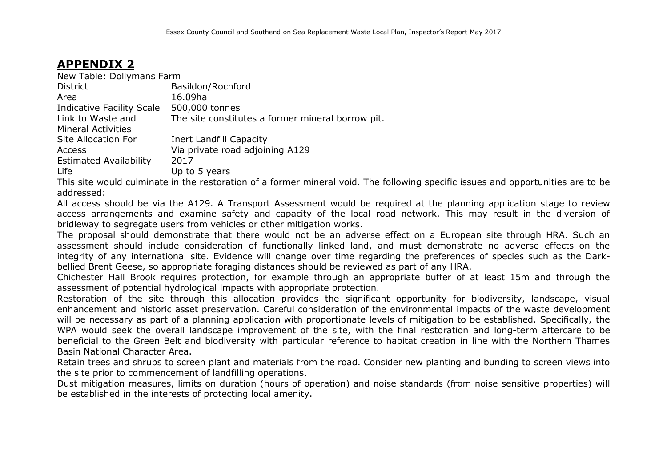### **APPENDIX 2**

| New Table: Dollymans Farm     |                                                   |
|-------------------------------|---------------------------------------------------|
| <b>District</b>               | Basildon/Rochford                                 |
| Area                          | 16.09ha                                           |
| Indicative Facility Scale     | 500,000 tonnes                                    |
| Link to Waste and             | The site constitutes a former mineral borrow pit. |
| <b>Mineral Activities</b>     |                                                   |
| Site Allocation For           | Inert Landfill Capacity                           |
| <b>Access</b>                 | Via private road adjoining A129                   |
| <b>Estimated Availability</b> | 2017                                              |
| Life                          | Up to 5 years                                     |

This site would culminate in the restoration of a former mineral void. The following specific issues and opportunities are to be addressed:

All access should be via the A129. A Transport Assessment would be required at the planning application stage to review access arrangements and examine safety and capacity of the local road network. This may result in the diversion of bridleway to segregate users from vehicles or other mitigation works.

The proposal should demonstrate that there would not be an adverse effect on a European site through HRA. Such an assessment should include consideration of functionally linked land, and must demonstrate no adverse effects on the integrity of any international site. Evidence will change over time regarding the preferences of species such as the Darkbellied Brent Geese, so appropriate foraging distances should be reviewed as part of any HRA.

Chichester Hall Brook requires protection, for example through an appropriate buffer of at least 15m and through the assessment of potential hydrological impacts with appropriate protection.

Restoration of the site through this allocation provides the significant opportunity for biodiversity, landscape, visual enhancement and historic asset preservation. Careful consideration of the environmental impacts of the waste development will be necessary as part of a planning application with proportionate levels of mitigation to be established. Specifically, the WPA would seek the overall landscape improvement of the site, with the final restoration and long-term aftercare to be beneficial to the Green Belt and biodiversity with particular reference to habitat creation in line with the Northern Thames Basin National Character Area.

Retain trees and shrubs to screen plant and materials from the road. Consider new planting and bunding to screen views into the site prior to commencement of landfilling operations.

Dust mitigation measures, limits on duration (hours of operation) and noise standards (from noise sensitive properties) will be established in the interests of protecting local amenity.